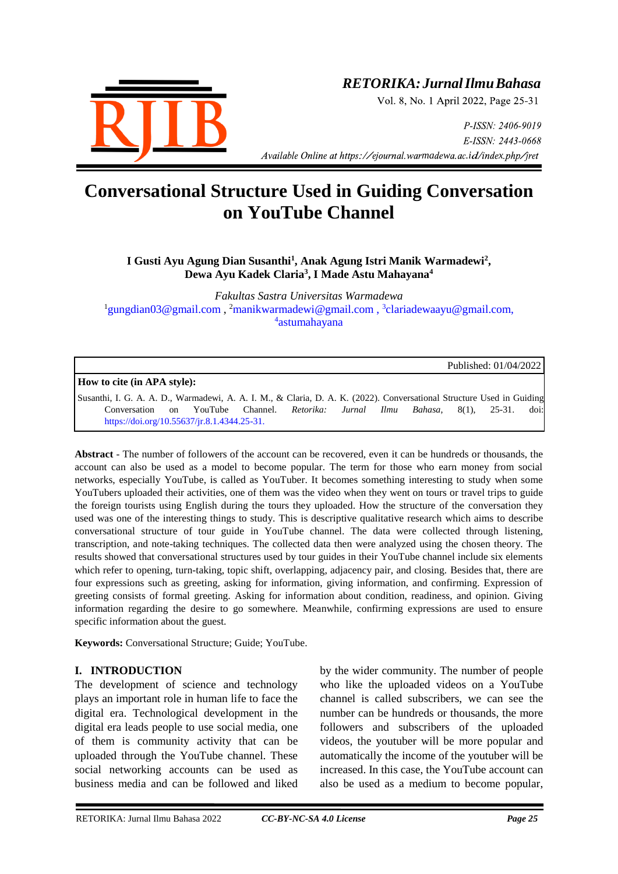

### *RETORIKA:JurnalIlmuBahasa*

Vol. 8, No. 1 April 2022, Page 25-31

P-ISSN: 2406-9019 E-ISSN: 2443-0668 *Available Online at https://ejournal.warmadewa.ac.id/index.php/jret* 

## **Conversational Structure Used in Guiding Conversation on YouTube Channel**

#### I Gusti Ayu Agung Dian Susanthi<sup>1</sup>, Anak Agung Istri Manik Warmadewi<sup>2</sup>, **Dewa Ayu Kadek Claria<sup>3</sup> , I Made Astu Mahayana<sup>4</sup>**

*Fakultas Sastra Universitas Warmadewa* <sup>1</sup>[gungdian03@gmail.com](mailto:gungdian03@gmail.com), <sup>2</sup>[manikwarmadewi@gmail.com](mailto:manikwarmadewi@gmail.com), <sup>3</sup>[clariadewaayu@gmail.com,](mailto:clariadewaayu@gmail.com) 4 astumahayana

Published: 01/04/2022

**How to cite (in APA style):**

Susanthi, I. G. A. A. D., Warmadewi, A. A. I. M., & Claria, D. A. K. (2022). Conversational Structure Used in Guiding Conversation on YouTube Channel. *Retorika: Jurnal Ilmu Bahasa*, 8(1), 25-31. doi: <https://doi.org/10.55637/jr.8.1.4344.25-31.>

**Abstract** - The number of followers of the account can be recovered, even it can be hundreds or thousands, the account can also be used as a model to become popular. The term for those who earn money from social networks, especially YouTube, is called as YouTuber. It becomes something interesting to study when some YouTubers uploaded their activities, one of them was the video when they went on tours or travel trips to guide the foreign tourists using English during the tours they uploaded. How the structure of the conversation they used was one of the interesting things to study. This is descriptive qualitative research which aims to describe conversational structure of tour guide in YouTube channel. The data were collected through listening, transcription, and note-taking techniques. The collected data then were analyzed using the chosen theory. The results showed that conversational structures used by tour guides in their YouTube channel include six elements which refer to opening, turn-taking, topic shift, overlapping, adjacency pair, and closing. Besides that, there are four expressions such as greeting, asking for information, giving information, and confirming. Expression of greeting consists of formal greeting. Asking for information about condition, readiness, and opinion. Giving information regarding the desire to go somewhere. Meanwhile, confirming expressions are used to ensure specific information about the guest.

**Keywords:** Conversational Structure; Guide; YouTube.

#### **I. INTRODUCTION**

The development of science and technology plays an important role in human life to face the digital era. Technological development in the digital era leads people to use social media, one of them is community activity that can be uploaded through the YouTube channel. These social networking accounts can be used as business media and can be followed and liked

by the wider community. The number of people who like the uploaded videos on a YouTube channel is called subscribers, we can see the number can be hundreds or thousands, the more followers and subscribers of the uploaded videos, the youtuber will be more popular and automatically the income of the youtuber will be increased. In this case, the YouTube account can also be used as a medium to become popular,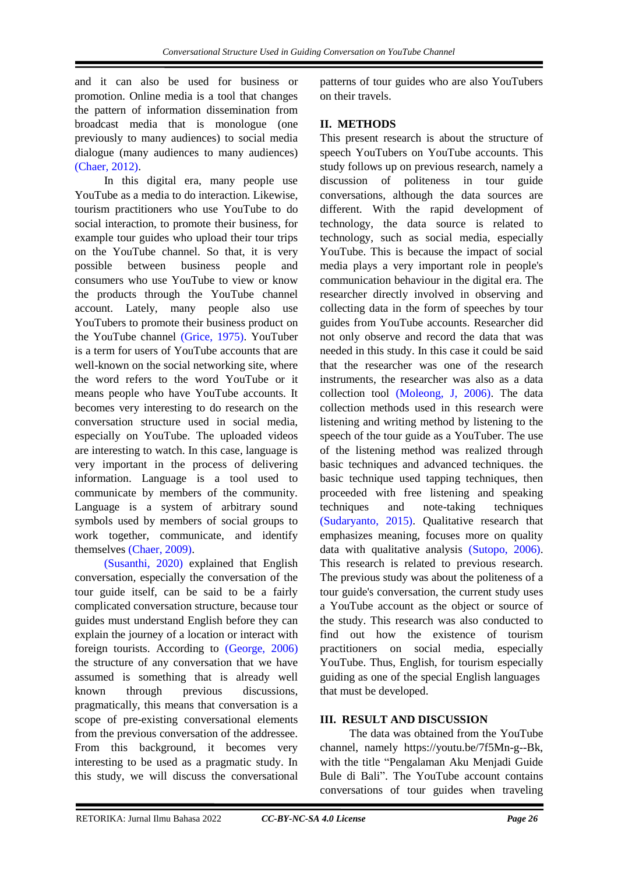and it can also be used for business or promotion. Online media is a tool that changes the pattern of information dissemination from broadcast media that is monologue (one previously to many audiences) to social media dialogue (many audiences to many audiences) [\(Chaer, 2012\).](#page-6-0)

In this digital era, many people use YouTube as a media to do interaction. Likewise, tourism practitioners who use YouTube to do social interaction, to promote their business, for example tour guides who upload their tour trips on the YouTube channel. So that, it is very possible between business people and consumers who use YouTube to view or know the products through the YouTube channel account. Lately, many people also use YouTubers to promote their business product on the YouTube channel [\(Grice, 1975\).](#page-6-0) YouTuber is a term for users of YouTube accounts that are well-known on the social networking site, where the word refers to the word YouTube or it means people who have YouTube accounts. It becomes very interesting to do research on the conversation structure used in social media, especially on YouTube. The uploaded videos are interesting to watch. In this case, language is very important in the process of delivering information. Language is a tool used to communicate by members of the community. Language is a system of arbitrary sound symbols used by members of social groups to work together, communicate, and identify themselves [\(Chaer, 2009\).](#page-6-0)

[\(Susanthi, 2020\)](#page-6-0) explained that English conversation, especially the conversation of the tour guide itself, can be said to be a fairly complicated conversation structure, because tour guides must understand English before they can explain the journey of a location or interact with foreign tourists. According to [\(George, 2006\)](#page-6-0) the structure of any conversation that we have assumed is something that is already well known through previous discussions, pragmatically, this means that conversation is a scope of pre-existing conversational elements from the previous conversation of the addressee. From this background, it becomes very interesting to be used as a pragmatic study. In this study, we will discuss the conversational

patterns of tour guides who are also YouTubers on their travels.

#### **II. METHODS**

This present research is about the structure of speech YouTubers on YouTube accounts. This study follows up on previous research, namely a discussion of politeness in tour guide conversations, although the data sources are different. With the rapid development of technology, the data source is related to technology, such as social media, especially YouTube. This is because the impact of social media plays a very important role in people's communication behaviour in the digital era. The researcher directly involved in observing and collecting data in the form of speeches by tour guides from YouTube accounts. Researcher did not only observe and record the data that was needed in this study. In this case it could be said that the researcher was one of the research instruments, the researcher was also as a data collection tool [\(Moleong, J, 2006\).](#page-6-0) The data collection methods used in this research were listening and writing method by listening to the speech of the tour guide as a YouTuber. The use of the listening method was realized through basic techniques and advanced techniques. the basic technique used tapping techniques, then proceeded with free listening and speaking techniques and note-taking techniques [\(Sudaryanto, 2015\).](#page-6-0) Qualitative research that emphasizes meaning, focuses more on quality data with qualitative analysis [\(Sutopo, 2006\).](#page-6-0) This research is related to previous research. The previous study was about the politeness of a tour guide's conversation, the current study uses a YouTube account as the object or source of the study. This research was also conducted to find out how the existence of tourism practitioners on social media, especially YouTube. Thus, English, for tourism especially guiding as one of the special English languages that must be developed.

#### **III. RESULT AND DISCUSSION**

The data was obtained from the YouTube channel, namely https://youtu.be/7f5Mn-g--Bk, with the title "Pengalaman Aku Menjadi Guide Bule di Bali". The YouTube account contains conversations of tour guides when traveling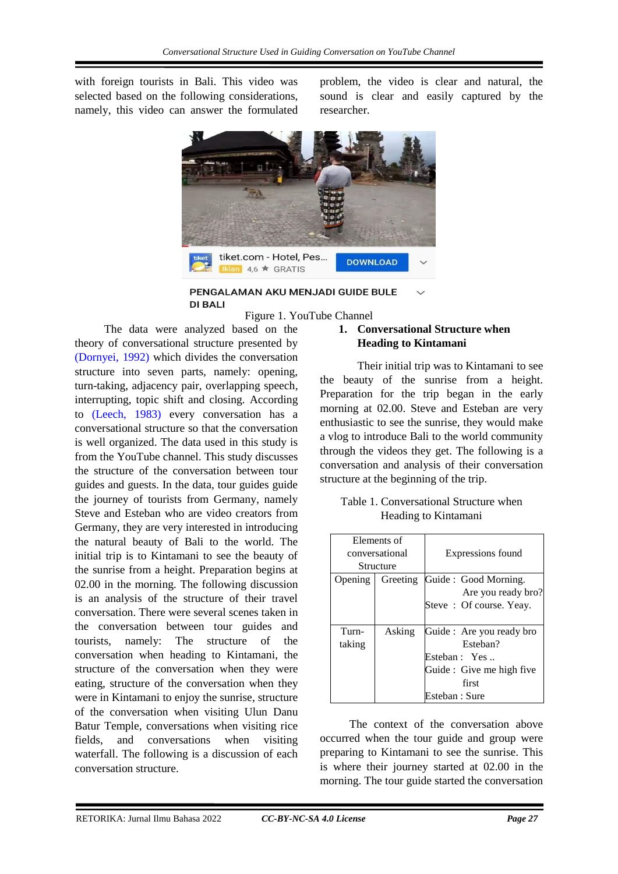with foreign tourists in Bali. This video was selected based on the following considerations, namely, this video can answer the formulated problem, the video is clear and natural, the sound is clear and easily captured by the researcher.



PENGALAMAN AKU MENJADI GUIDE BULE DI RALI

theory of conversational structure presented by [\(Dornyei, 1992\)](#page-6-0) which divides the conversation structure into seven parts, namely: opening, turn-taking, adjacency pair, overlapping speech, interrupting, topic shift and closing. According to [\(Leech, 1983\)](#page-6-0) every conversation has a conversational structure so that the conversation is well organized. The data used in this study is from the YouTube channel. This study discusses the structure of the conversation between tour guides and guests. In the data, tour guides guide the journey of tourists from Germany, namely Steve and Esteban who are video creators from Germany, they are very interested in introducing the natural beauty of Bali to the world. The initial trip is to Kintamani to see the beauty of the sunrise from a height. Preparation begins at 02.00 in the morning. The following discussion is an analysis of the structure of their travel conversation. There were several scenes taken in the conversation between tour guides and tourists, namely: The structure of the conversation when heading to Kintamani, the structure of the conversation when they were eating, structure of the conversation when they were in Kintamani to enjoy the sunrise, structure

The data were analyzed based on the

#### of the conversation when visiting Ulun Danu Batur Temple, conversations when visiting rice fields, and conversations when visiting waterfall. The following is a discussion of each conversation structure.

#### Figure 1. YouTube Channel **1. Conversational Structure when Heading to Kintamani**

 Their initial trip was to Kintamani to see the beauty of the sunrise from a height. Preparation for the trip began in the early morning at 02.00. Steve and Esteban are very enthusiastic to see the sunrise, they would make a vlog to introduce Bali to the world community through the videos they get. The following is a conversation and analysis of their conversation structure at the beginning of the trip.

#### Table 1. Conversational Structure when Heading to Kintamani

| Elements of    |          |                           |  |  |
|----------------|----------|---------------------------|--|--|
| conversational |          | Expressions found         |  |  |
| Structure      |          |                           |  |  |
| Opening        | Greeting | Guide: Good Morning.      |  |  |
|                |          | Are you ready bro?        |  |  |
|                |          | Steve: Of course. Yeay.   |  |  |
|                |          |                           |  |  |
| Turn-          | Asking   | Guide : Are you ready bro |  |  |
| taking         |          | Esteban?                  |  |  |
|                |          | Esteban: Yes              |  |  |
|                |          | Guide : Give me high five |  |  |
|                |          | first                     |  |  |
|                |          | Esteban : Sure            |  |  |

The context of the conversation above occurred when the tour guide and group were preparing to Kintamani to see the sunrise. This is where their journey started at 02.00 in the morning. The tour guide started the conversation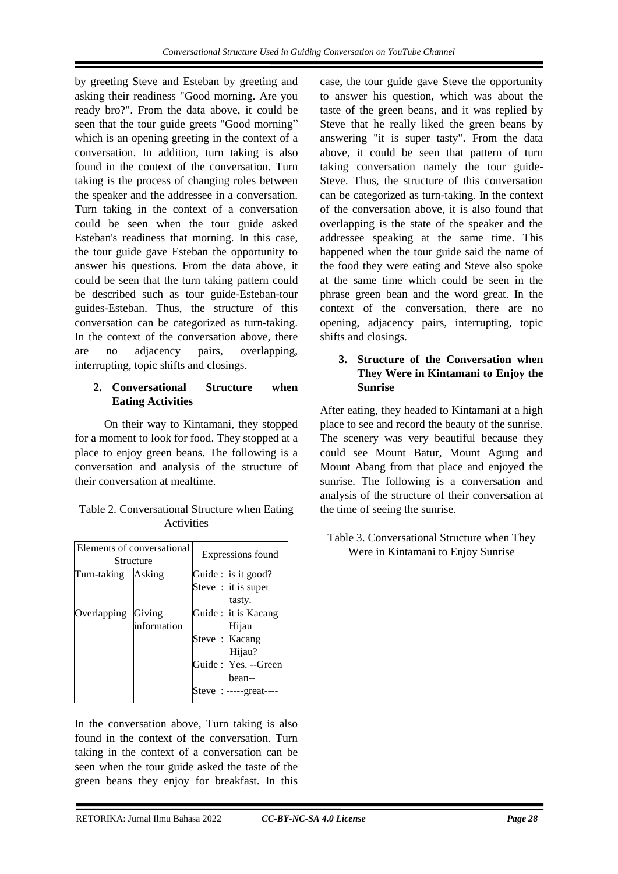by greeting Steve and Esteban by greeting and asking their readiness "Good morning. Are you ready bro?". From the data above, it could be seen that the tour guide greets "Good morning" which is an opening greeting in the context of a conversation. In addition, turn taking is also found in the context of the conversation. Turn taking is the process of changing roles between the speaker and the addressee in a conversation. Turn taking in the context of a conversation could be seen when the tour guide asked Esteban's readiness that morning. In this case, the tour guide gave Esteban the opportunity to answer his questions. From the data above, it could be seen that the turn taking pattern could be described such as tour guide-Esteban-tour guides-Esteban. Thus, the structure of this conversation can be categorized as turn-taking. In the context of the conversation above, there are no adjacency pairs, overlapping, interrupting, topic shifts and closings.

#### **2. Conversational Structure when Eating Activities**

On their way to Kintamani, they stopped for a moment to look for food. They stopped at a place to enjoy green beans. The following is a conversation and analysis of the structure of their conversation at mealtime.

| Table 2. Conversational Structure when Eating |
|-----------------------------------------------|
| <b>Activities</b>                             |

| Elements of conversational<br>Structure |             | Expressions found   |                      |
|-----------------------------------------|-------------|---------------------|----------------------|
| Turn-taking                             | Asking      | Guide : is it good? |                      |
|                                         |             |                     | Steve : it is super  |
|                                         |             |                     | tasty.               |
| Overlapping                             | Giving      |                     | Guide : it is Kacang |
|                                         | information |                     | Hijau                |
|                                         |             |                     | Steve : Kacang       |
|                                         |             |                     | Hijau?               |
|                                         |             |                     | Guide: Yes. --Green  |
|                                         |             |                     | hean--               |
|                                         |             |                     | Steve : $---$ great  |

In the conversation above, Turn taking is also found in the context of the conversation. Turn taking in the context of a conversation can be seen when the tour guide asked the taste of the green beans they enjoy for breakfast. In this

case, the tour guide gave Steve the opportunity to answer his question, which was about the taste of the green beans, and it was replied by Steve that he really liked the green beans by answering "it is super tasty". From the data above, it could be seen that pattern of turn taking conversation namely the tour guide-Steve. Thus, the structure of this conversation can be categorized as turn-taking. In the context of the conversation above, it is also found that overlapping is the state of the speaker and the addressee speaking at the same time. This happened when the tour guide said the name of the food they were eating and Steve also spoke at the same time which could be seen in the phrase green bean and the word great. In the context of the conversation, there are no opening, adjacency pairs, interrupting, topic shifts and closings.

#### **3. Structure of the Conversation when They Were in Kintamani to Enjoy the Sunrise**

After eating, they headed to Kintamani at a high place to see and record the beauty of the sunrise. The scenery was very beautiful because they could see Mount Batur, Mount Agung and Mount Abang from that place and enjoyed the sunrise. The following is a conversation and analysis of the structure of their conversation at the time of seeing the sunrise.

#### Table 3. Conversational Structure when They Were in Kintamani to Enjoy Sunrise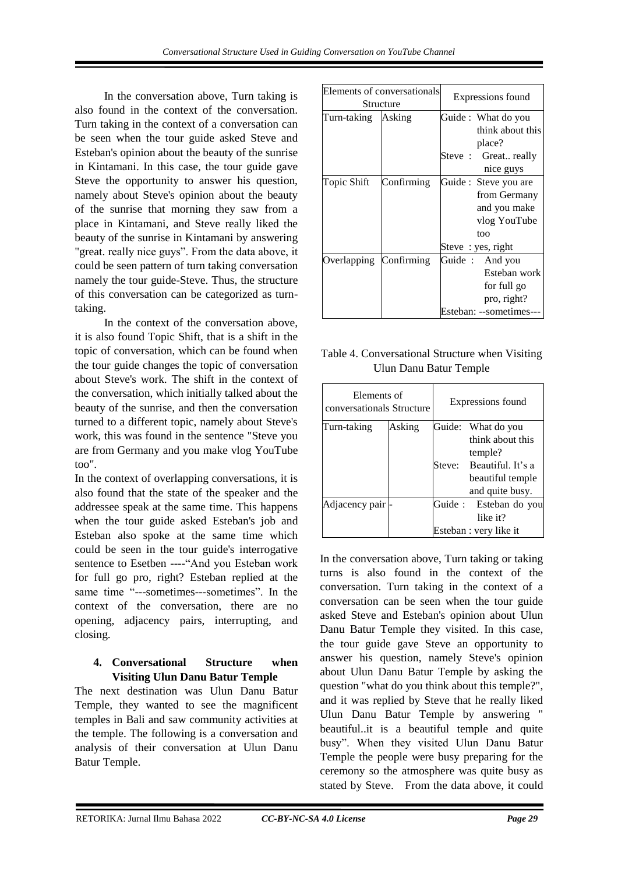In the conversation above, Turn taking is also found in the context of the conversation. Turn taking in the context of a conversation can be seen when the tour guide asked Steve and Esteban's opinion about the beauty of the sunrise in Kintamani. In this case, the tour guide gave Steve the opportunity to answer his question, namely about Steve's opinion about the beauty of the sunrise that morning they saw from a place in Kintamani, and Steve really liked the beauty of the sunrise in Kintamani by answering "great. really nice guys". From the data above, it could be seen pattern of turn taking conversation namely the tour guide-Steve. Thus, the structure of this conversation can be categorized as turntaking.

In the context of the conversation above, it is also found Topic Shift, that is a shift in the topic of conversation, which can be found when the tour guide changes the topic of conversation about Steve's work. The shift in the context of the conversation, which initially talked about the beauty of the sunrise, and then the conversation turned to a different topic, namely about Steve's work, this was found in the sentence "Steve you are from Germany and you make vlog YouTube too".

In the context of overlapping conversations, it is also found that the state of the speaker and the addressee speak at the same time. This happens when the tour guide asked Esteban's job and Esteban also spoke at the same time which could be seen in the tour guide's interrogative sentence to Esetben ----"And you Esteban work for full go pro, right? Esteban replied at the same time "---sometimes---sometimes". In the context of the conversation, there are no opening, adjacency pairs, interrupting, and closing.

#### **4. Conversational Structure when Visiting Ulun Danu Batur Temple**

The next destination was Ulun Danu Batur Temple, they wanted to see the magnificent temples in Bali and saw community activities at the temple. The following is a conversation and analysis of their conversation at Ulun Danu Batur Temple.

| Elements of conversationals<br>Structure |            | Expressions found |                       |  |
|------------------------------------------|------------|-------------------|-----------------------|--|
| Turn-taking                              | Asking     |                   | Guide : What do you   |  |
|                                          |            |                   | think about this      |  |
|                                          |            |                   | place?                |  |
|                                          |            |                   | Steve: Great really   |  |
|                                          |            |                   | nice guys             |  |
| Topic Shift                              | Confirming |                   | Guide : Steve you are |  |
|                                          |            |                   | from Germany          |  |
|                                          |            |                   | and you make          |  |
|                                          |            |                   | vlog YouTube          |  |
|                                          |            |                   | too                   |  |
|                                          |            |                   | Steve : yes, right    |  |
| Overlapping Confirming                   |            |                   | Guide: And you        |  |
|                                          |            |                   | Esteban work          |  |
|                                          |            |                   | for full go           |  |
|                                          |            |                   | pro, right?           |  |
|                                          |            |                   | Esteban: --sometimes- |  |

Table 4. Conversational Structure when Visiting Ulun Danu Batur Temple

| Elements of<br>conversationals Structure |        | Expressions found        |                        |  |
|------------------------------------------|--------|--------------------------|------------------------|--|
| Turn-taking                              | Asking | Guide: What do you       |                        |  |
|                                          |        | think about this         |                        |  |
|                                          |        |                          | temple?                |  |
|                                          |        | Steve: Beautiful. It's a |                        |  |
|                                          |        |                          | beautiful temple       |  |
|                                          |        | and quite busy.          |                        |  |
| Adjacency pair                           |        |                          | Guide : Esteban do you |  |
|                                          |        | like it?                 |                        |  |
|                                          |        | Esteban : very like it   |                        |  |

In the conversation above, Turn taking or taking turns is also found in the context of the conversation. Turn taking in the context of a conversation can be seen when the tour guide asked Steve and Esteban's opinion about Ulun Danu Batur Temple they visited. In this case, the tour guide gave Steve an opportunity to answer his question, namely Steve's opinion about Ulun Danu Batur Temple by asking the question "what do you think about this temple?", and it was replied by Steve that he really liked Ulun Danu Batur Temple by answering " beautiful..it is a beautiful temple and quite busy". When they visited Ulun Danu Batur Temple the people were busy preparing for the ceremony so the atmosphere was quite busy as stated by Steve. From the data above, it could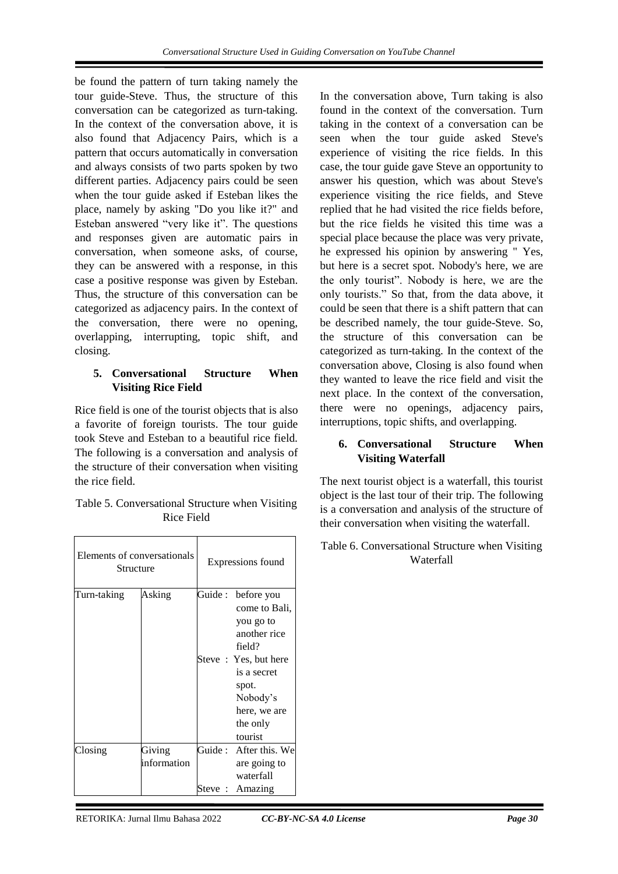be found the pattern of turn taking namely the tour guide-Steve. Thus, the structure of this conversation can be categorized as turn-taking. In the context of the conversation above, it is also found that Adjacency Pairs, which is a pattern that occurs automatically in conversation and always consists of two parts spoken by two different parties. Adjacency pairs could be seen when the tour guide asked if Esteban likes the place, namely by asking "Do you like it?" and Esteban answered "very like it". The questions and responses given are automatic pairs in conversation, when someone asks, of course, they can be answered with a response, in this case a positive response was given by Esteban. Thus, the structure of this conversation can be categorized as adjacency pairs. In the context of the conversation, there were no opening, overlapping, interrupting, topic shift, and closing.

#### **5. Conversational Structure When Visiting Rice Field**

Rice field is one of the tourist objects that is also a favorite of foreign tourists. The tour guide took Steve and Esteban to a beautiful rice field. The following is a conversation and analysis of the structure of their conversation when visiting the rice field.

| Table 5. Conversational Structure when Visiting |
|-------------------------------------------------|
| Rice Field                                      |

| Elements of conversationals<br>Structure |                       | Expressions found |                                                                                                                                                                       | Table 6. Conversational Stru<br>Waterfall |  |
|------------------------------------------|-----------------------|-------------------|-----------------------------------------------------------------------------------------------------------------------------------------------------------------------|-------------------------------------------|--|
| Turn-taking                              | Asking                | Guide:            | before you<br>come to Bali,<br>you go to<br>another rice<br>field?<br>Steve: Yes, but here<br>is a secret<br>spot.<br>Nobody's<br>here, we are<br>the only<br>tourist |                                           |  |
| Closing                                  | Giving<br>information | Guide :<br>Steve: | After this. We<br>are going to<br>waterfall<br>Amazing                                                                                                                |                                           |  |

In the conversation above, Turn taking is also found in the context of the conversation. Turn taking in the context of a conversation can be seen when the tour guide asked Steve's experience of visiting the rice fields. In this case, the tour guide gave Steve an opportunity to answer his question, which was about Steve's experience visiting the rice fields, and Steve replied that he had visited the rice fields before, but the rice fields he visited this time was a special place because the place was very private, he expressed his opinion by answering " Yes, but here is a secret spot. Nobody's here, we are the only tourist". Nobody is here, we are the only tourists." So that, from the data above, it could be seen that there is a shift pattern that can be described namely, the tour guide-Steve. So, the structure of this conversation can be categorized as turn-taking. In the context of the conversation above, Closing is also found when they wanted to leave the rice field and visit the next place. In the context of the conversation, there were no openings, adjacency pairs, interruptions, topic shifts, and overlapping.

#### **6. Conversational Structure When Visiting Waterfall**

The next tourist object is a waterfall, this tourist object is the last tour of their trip. The following is a conversation and analysis of the structure of their conversation when visiting the waterfall.

# Table 6. Conversational Structure when Visiting